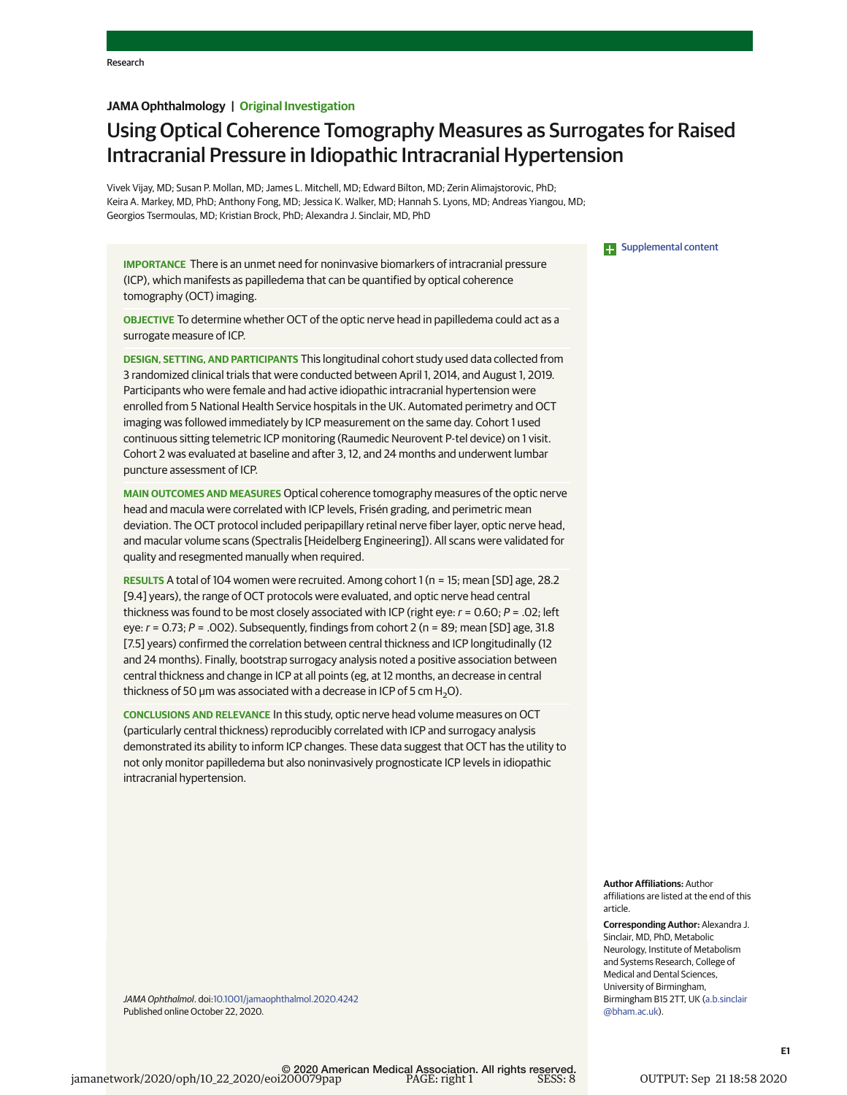## **JAMA Ophthalmology | Original Investigation**

# Using Optical Coherence Tomography Measures as Surrogates for Raised Intracranial Pressure in Idiopathic Intracranial Hypertension

Vivek Vijay, MD; Susan P. Mollan, MD; James L. Mitchell, MD; Edward Bilton, MD; Zerin Alimajstorovic, PhD; Keira A. Markey, MD, PhD; Anthony Fong, MD; Jessica K. Walker, MD; Hannah S. Lyons, MD; Andreas Yiangou, MD; Georgios Tsermoulas, MD; Kristian Brock, PhD; Alexandra J. Sinclair, MD, PhD

**IMPORTANCE** There is an unmet need for noninvasive biomarkers of intracranial pressure (ICP), which manifests as papilledema that can be quantified by optical coherence tomography (OCT) imaging.

**OBJECTIVE** To determine whether OCT of the optic nerve head in papilledema could act as a surrogate measure of ICP.

**DESIGN, SETTING, AND PARTICIPANTS** This longitudinal cohort study used data collected from 3 randomized clinical trials that were conducted between April 1, 2014, and August 1, 2019. Participants who were female and had active idiopathic intracranial hypertension were enrolled from 5 National Health Service hospitals in the UK. Automated perimetry and OCT imaging was followed immediately by ICP measurement on the same day. Cohort 1 used continuous sitting telemetric ICP monitoring (Raumedic Neurovent P-tel device) on 1 visit. Cohort 2 was evaluated at baseline and after 3, 12, and 24 months and underwent lumbar puncture assessment of ICP.

**MAIN OUTCOMES AND MEASURES** Optical coherence tomography measures of the optic nerve head and macula were correlated with ICP levels, Frisén grading, and perimetric mean deviation. The OCT protocol included peripapillary retinal nerve fiber layer, optic nerve head, and macular volume scans (Spectralis [Heidelberg Engineering]). All scans were validated for quality and resegmented manually when required.

**RESULTS** A total of 104 women were recruited. Among cohort 1 (n = 15; mean [SD] age, 28.2 [9.4] years), the range of OCT protocols were evaluated, and optic nerve head central thickness was found to be most closely associated with ICP (right eye:  $r = 0.60; P = .02$ ; left eye:  $r = 0.73$ ;  $P = .002$ ). Subsequently, findings from cohort 2 (n = 89; mean [SD] age, 31.8 [7.5] years) confirmed the correlation between central thickness and ICP longitudinally (12 and 24 months). Finally, bootstrap surrogacy analysis noted a positive association between central thickness and change in ICP at all points (eg, at 12 months, an decrease in central thickness of 50  $\mu$ m was associated with a decrease in ICP of 5 cm H<sub>2</sub>O).

**CONCLUSIONS AND RELEVANCE** In this study, optic nerve head volume measures on OCT (particularly central thickness) reproducibly correlated with ICP and surrogacy analysis demonstrated its ability to inform ICP changes. These data suggest that OCT has the utility to not only monitor papilledema but also noninvasively prognosticate ICP levels in idiopathic intracranial hypertension.

**Examplemental content** 

**Author Affiliations:** Author affiliations are listed at the end of this

article.

**Corresponding Author:** Alexandra J. Sinclair, MD, PhD, Metabolic Neurology, Institute of Metabolism and Systems Research, College of Medical and Dental Sciences, University of Birmingham, Birmingham B15 2TT, UK [\(a.b.sinclair](mailto:a.b.sinclair@bham.ac.uk) [@bham.ac.uk\)](mailto:a.b.sinclair@bham.ac.uk).

JAMA Ophthalmol. doi[:10.1001/jamaophthalmol.2020.4242](https://jamanetwork.com/journals/jama/fullarticle/10.1001/jamaophthalmol.2020.4242?utm_campaign=articlePDF%26utm_medium=articlePDFlink%26utm_source=articlePDF%26utm_content=jamaophthalmol.2020.4242) Published online October 22, 2020.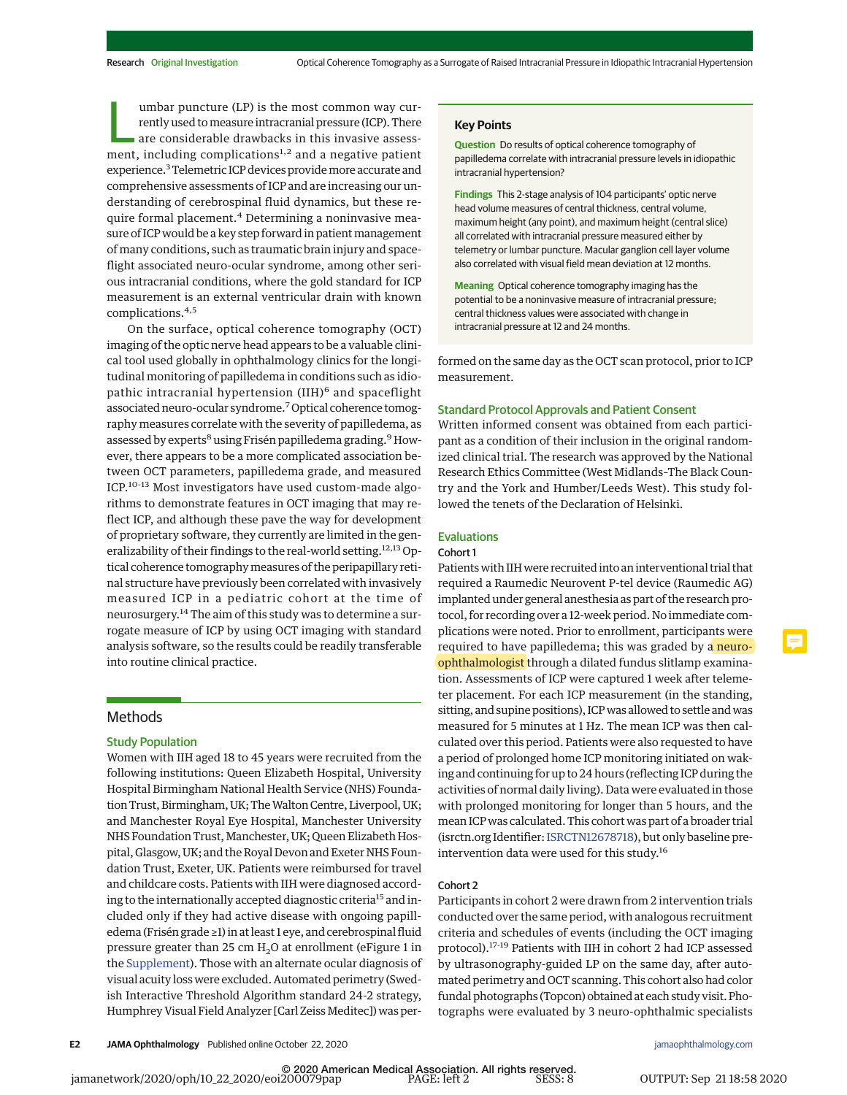umbar puncture (LP) is the most common way cur-<br>rently used to measure intracranial pressure (ICP). There<br>are considerable drawbacks in this invasive assess-<br>mont including complications<sup>1,2</sup> and a positive patient rently used tomeasure intracranial pressure (ICP). There ment, including complications<sup>1,2</sup> and a negative patient experience.<sup>3</sup> Telemetric ICP devices provide more accurate and comprehensive assessments of ICP and are increasing our understanding of cerebrospinal fluid dynamics, but these require formal placement.<sup>4</sup> Determining a noninvasive measure of ICP would be a key step forward in patient management of many conditions, such as traumatic brain injury and spaceflight associated neuro-ocular syndrome, among other serious intracranial conditions, where the gold standard for ICP measurement is an external ventricular drain with known complications.4,5

On the surface, optical coherence tomography (OCT) imaging of the optic nerve head appears to be a valuable clinical tool used globally in ophthalmology clinics for the longitudinal monitoring of papilledema in conditions such as idiopathic intracranial hypertension (IIH)<sup>6</sup> and spaceflight associated neuro-ocular syndrome.7Optical coherence tomography measures correlate with the severity of papilledema, as assessed by experts<sup>8</sup> using Frisén papilledema grading.<sup>9</sup> However, there appears to be a more complicated association between OCT parameters, papilledema grade, and measured ICP.10-13 Most investigators have used custom-made algorithms to demonstrate features in OCT imaging that may reflect ICP, and although these pave the way for development of proprietary software, they currently are limited in the generalizability of their findings to the real-world setting.<sup>12,13</sup> Optical coherence tomography measures of the peripapillary retinal structure have previously been correlated with invasively measured ICP in a pediatric cohort at the time of neurosurgery.<sup>14</sup> The aim of this study was to determine a surrogate measure of ICP by using OCT imaging with standard analysis software, so the results could be readily transferable into routine clinical practice.

# Methods

## Study Population

Women with IIH aged 18 to 45 years were recruited from the following institutions: Queen Elizabeth Hospital, University Hospital Birmingham National Health Service (NHS) Foundation Trust, Birmingham, UK; The Walton Centre, Liverpool, UK; and Manchester Royal Eye Hospital, Manchester University NHS Foundation Trust, Manchester, UK; Queen Elizabeth Hospital, Glasgow, UK; and the Royal Devon and Exeter NHS Foundation Trust, Exeter, UK. Patients were reimbursed for travel and childcare costs. Patients with IIH were diagnosed according to the internationally accepted diagnostic criteria<sup>15</sup> and included only if they had active disease with ongoing papilledema (Frisén grade ≥1) in at least 1 eye, and cerebrospinal fluid pressure greater than 25 cm  $H_2O$  at enrollment (eFigure 1 in the [Supplement\)](https://jamanetwork.com/journals/jama/fullarticle/10.1001/jamaophthalmol.2020.4242?utm_campaign=articlePDF%26utm_medium=articlePDFlink%26utm_source=articlePDF%26utm_content=jamaophthalmol.2020.4242). Those with an alternate ocular diagnosis of visual acuity loss were excluded. Automated perimetry (Swedish Interactive Threshold Algorithm standard 24-2 strategy, Humphrey Visual Field Analyzer [Carl Zeiss Meditec]) was per-

## **Key Points**

**Question** Do results of optical coherence tomography of papilledema correlate with intracranial pressure levels in idiopathic intracranial hypertension?

**Findings** This 2-stage analysis of 104 participants' optic nerve head volume measures of central thickness, central volume, maximum height (any point), and maximum height (central slice) all correlated with intracranial pressure measured either by telemetry or lumbar puncture. Macular ganglion cell layer volume also correlated with visual field mean deviation at 12 months.

**Meaning** Optical coherence tomography imaging has the potential to be a noninvasive measure of intracranial pressure; central thickness values were associated with change in intracranial pressure at 12 and 24 months.

formed on the same day as the OCT scan protocol, prior to ICP measurement.

### Standard Protocol Approvals and Patient Consent

Written informed consent was obtained from each participant as a condition of their inclusion in the original randomized clinical trial. The research was approved by the National Research Ethics Committee (West Midlands–The Black Country and the York and Humber/Leeds West). This study followed the tenets of the Declaration of Helsinki.

## Evaluations

## Cohort 1

Patients with IIH were recruited into an interventional trial that required a Raumedic Neurovent P-tel device (Raumedic AG) implanted under general anesthesia as part of the research protocol, for recording over a 12-week period. No immediate complications were noted. Prior to enrollment, participants were required to have papilledema; this was graded by a neuroophthalmologist through a dilated fundus slitlamp examination. Assessments of ICP were captured 1 week after telemeter placement. For each ICP measurement (in the standing, sitting, and supine positions), ICP was allowed to settle and was measured for 5 minutes at 1 Hz. The mean ICP was then calculated over this period. Patients were also requested to have a period of prolonged home ICP monitoring initiated on waking and continuing for up to 24 hours (reflecting ICP during the activities of normal daily living). Data were evaluated in those with prolonged monitoring for longer than 5 hours, and the mean ICP was calculated. This cohort was part of a broader trial (isrctn.org Identifier[:ISRCTN12678718\)](http://www.isrctn.com/ISRCTN12678718), but only baseline preintervention data were used for this study.<sup>16</sup>

#### Cohort 2

Participants in cohort 2 were drawn from 2 intervention trials conducted over the same period, with analogous recruitment criteria and schedules of events (including the OCT imaging protocol).17-19 Patients with IIH in cohort 2 had ICP assessed by ultrasonography-guided LP on the same day, after automated perimetry and OCT scanning. This cohort also had color fundal photographs (Topcon) obtained at each study visit. Photographs were evaluated by 3 neuro-ophthalmic specialists

jamanetwork/2020/oph/10\_22\_2020/eoi200079pap PAGE: left 2 SESS: 8 OUTPUT: Sep 21 18:58 2020 © 2020 American Medical Association. All rights reserved.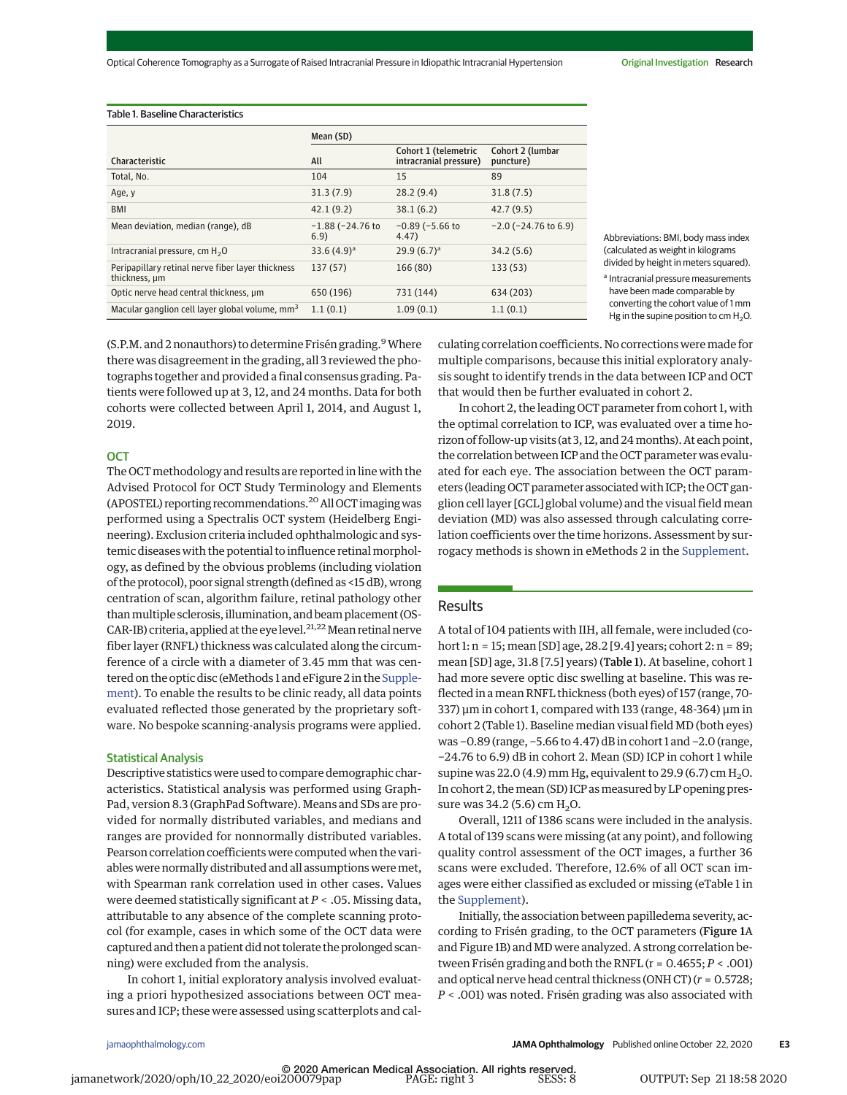#### Table 1. Baseline Characteristics

|                                                                    | Mean (SD)                     |                                                |                               |
|--------------------------------------------------------------------|-------------------------------|------------------------------------------------|-------------------------------|
| Characteristic                                                     | All                           | Cohort 1 (telemetric<br>intracranial pressure) | Cohort 2 (lumbar<br>puncture) |
| Total. No.                                                         | 104                           | 15                                             | 89                            |
| Age, y                                                             | 31.3(7.9)                     | 28.2(9.4)                                      | 31.8(7.5)                     |
| <b>BMI</b>                                                         | 42.1(9.2)                     | 38.1(6.2)                                      | 42.7(9.5)                     |
| Mean deviation, median (range), dB                                 | $-1.88$ ( $-24.76$ to<br>6.9) | $-0.89$ ( $-5.66$ to<br>4.47)                  | $-2.0$ ( $-24.76$ to 6.9)     |
| Intracranial pressure, cm H <sub>2</sub> O                         | 33.6 $(4.9)^a$                | 29.9(6.7) <sup>a</sup>                         | 34.2(5.6)                     |
| Peripapillary retinal nerve fiber layer thickness<br>thickness, um | 137 (57)                      | 166 (80)                                       | 133(53)                       |
| Optic nerve head central thickness, um                             | 650 (196)                     | 731 (144)                                      | 634 (203)                     |
| Macular ganglion cell layer global volume, mm <sup>3</sup>         | 1.1(0.1)                      | 1.09(0.1)                                      | 1.1(0.1)                      |

Abbreviations: BMI, body mass index (calculated as weight in kilograms divided by height in meters squared).

<sup>a</sup> Intracranial pressure measurements have been made comparable by converting the cohort value of 1 mm Hg in the supine position to cm  $H_2O$ .

(S.P.M. and 2 nonauthors) to determine Frisén grading.<sup>9</sup> Where there was disagreement in the grading, all 3 reviewed the photographs together and provided a final consensus grading. Patients were followed up at 3, 12, and 24 months. Data for both cohorts were collected between April 1, 2014, and August 1, 2019.

## **OCT**

The OCT methodology and results are reported in line with the Advised Protocol for OCT Study Terminology and Elements (APOSTEL) reporting recommendations.20All OCT imagingwas performed using a Spectralis OCT system (Heidelberg Engineering). Exclusion criteria included ophthalmologic and systemic diseases with the potential to influence retinal morphology, as defined by the obvious problems (including violation of the protocol), poor signal strength (defined as <15 dB), wrong centration of scan, algorithm failure, retinal pathology other than multiple sclerosis, illumination, and beam placement (OS-CAR-IB) criteria, applied at the eye level.<sup>21,22</sup> Mean retinal nerve fiber layer (RNFL) thickness was calculated along the circumference of a circle with a diameter of 3.45 mm that was centered on the optic disc (eMethods 1 and eFigure 2 in the [Supple](https://jamanetwork.com/journals/jama/fullarticle/10.1001/jamaophthalmol.2020.4242?utm_campaign=articlePDF%26utm_medium=articlePDFlink%26utm_source=articlePDF%26utm_content=jamaophthalmol.2020.4242)[ment\)](https://jamanetwork.com/journals/jama/fullarticle/10.1001/jamaophthalmol.2020.4242?utm_campaign=articlePDF%26utm_medium=articlePDFlink%26utm_source=articlePDF%26utm_content=jamaophthalmol.2020.4242). To enable the results to be clinic ready, all data points evaluated reflected those generated by the proprietary software. No bespoke scanning-analysis programs were applied.

#### Statistical Analysis

Descriptive statistics were used to compare demographic characteristics. Statistical analysis was performed using Graph-Pad, version 8.3 (GraphPad Software). Means and SDs are provided for normally distributed variables, and medians and ranges are provided for nonnormally distributed variables. Pearson correlation coefficients were computed when the variables were normally distributed and all assumptions weremet, with Spearman rank correlation used in other cases. Values were deemed statistically significant at *P* < .05. Missing data, attributable to any absence of the complete scanning protocol (for example, cases in which some of the OCT data were captured and then a patient did not tolerate the prolonged scanning) were excluded from the analysis.

In cohort 1, initial exploratory analysis involved evaluating a priori hypothesized associations between OCT measures and ICP; these were assessed using scatterplots and calculating correlation coefficients. No corrections weremade for multiple comparisons, because this initial exploratory analysis sought to identify trends in the data between ICP and OCT that would then be further evaluated in cohort 2.

In cohort 2, the leading OCT parameter from cohort 1, with the optimal correlation to ICP, was evaluated over a time horizon of follow-up visits (at 3, 12, and 24months). At each point, the correlation between ICP and the OCT parameter was evaluated for each eye. The association between the OCT parameters (leading OCT parameter associated with ICP; the OCT ganglion cell layer [GCL] global volume) and the visual field mean deviation (MD) was also assessed through calculating correlation coefficients over the time horizons. Assessment by surrogacy methods is shown in eMethods 2 in the [Supplement.](https://jamanetwork.com/journals/jama/fullarticle/10.1001/jamaophthalmol.2020.4242?utm_campaign=articlePDF%26utm_medium=articlePDFlink%26utm_source=articlePDF%26utm_content=jamaophthalmol.2020.4242)

### Results

A total of 104 patients with IIH, all female, were included (cohort 1: n = 15; mean [SD] age, 28.2 [9.4] years; cohort 2: n = 89; mean [SD] age, 31.8 [7.5] years) (Table 1). At baseline, cohort 1 had more severe optic disc swelling at baseline. This was reflected in a mean RNFL thickness (both eyes) of 157 (range, 70- 337) μm in cohort 1, compared with 133 (range, 48-364) μm in cohort 2 (Table 1). Baseline median visual field MD (both eyes) was −0.89 (range, −5.66 to 4.47) dB in cohort 1 and −2.0 (range, −24.76 to 6.9) dB in cohort 2. Mean (SD) ICP in cohort 1 while supine was 22.0 (4.9) mm Hg, equivalent to 29.9 (6.7) cm  $H_2O$ . In cohort 2, the mean (SD) ICP as measured by LP opening pressure was 34.2 (5.6) cm  $H_2O$ .

Overall, 1211 of 1386 scans were included in the analysis. A total of 139 scans were missing (at any point), and following quality control assessment of the OCT images, a further 36 scans were excluded. Therefore, 12.6% of all OCT scan images were either classified as excluded or missing (eTable 1 in the [Supplement\)](https://jamanetwork.com/journals/jama/fullarticle/10.1001/jamaophthalmol.2020.4242?utm_campaign=articlePDF%26utm_medium=articlePDFlink%26utm_source=articlePDF%26utm_content=jamaophthalmol.2020.4242).

Initially, the association between papilledema severity, according to Frisén grading, to the OCT parameters (Figure 1A and Figure 1B) and MD were analyzed. A strong correlation between Frisén grading and both the RNFL (r = 0.4655; *P* < .001) and optical nerve head central thickness (ONH CT) (*r* = 0.5728; *P* < .001) was noted. Frisén grading was also associated with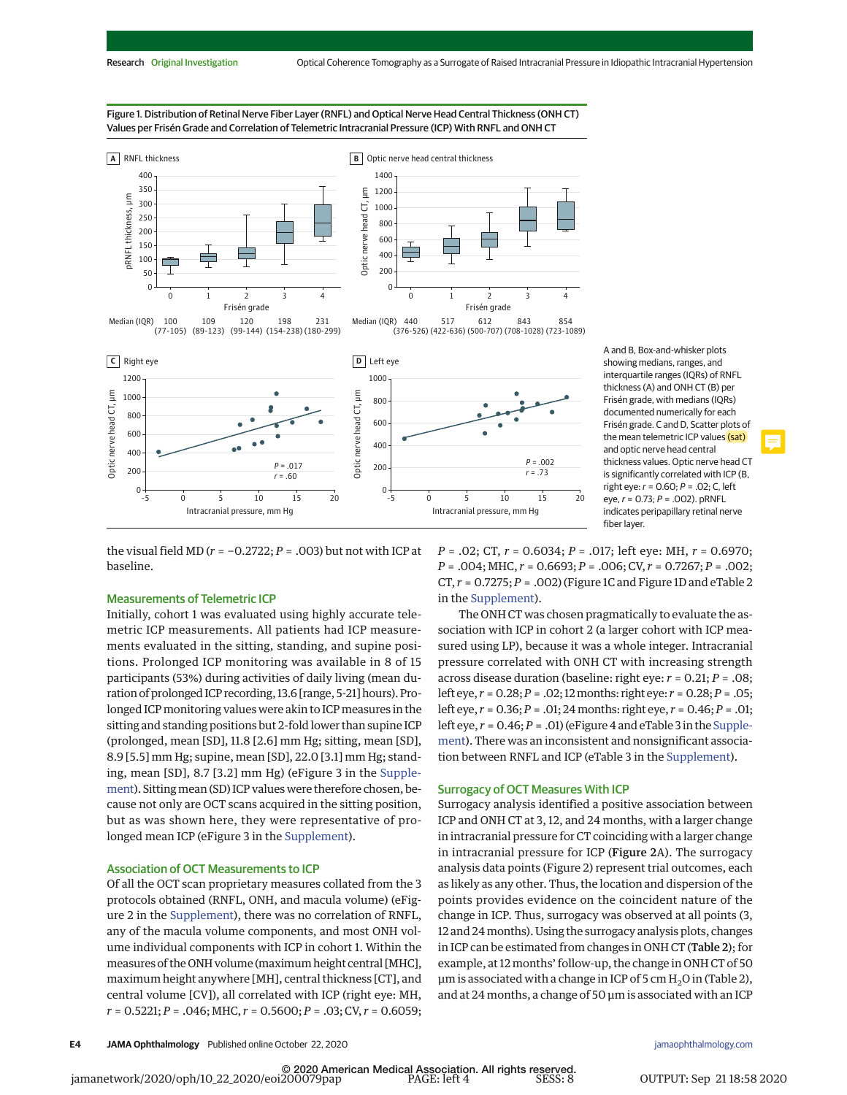

Figure 1. Distribution of Retinal Nerve Fiber Layer (RNFL) and Optical Nerve Head Central Thickness (ONH CT) Values per Frisén Grade and Correlation of Telemetric Intracranial Pressure (ICP) With RNFL and ONH CT

> showing medians, ranges, and interquartile ranges (IQRs) of RNFL thickness (A) and ONH CT (B) per Frisén grade, with medians (IQRs) documented numerically for each Frisén grade. C and D, Scatter plots of the mean telemetric ICP values (sat) and optic nerve head central thickness values. Optic nerve head CT is significantly correlated with ICP (B, right eye:  $r = 0.60$ ;  $P = .02$ ; C, left eye,  $r = 0.73$ ;  $P = .002$ ). pRNFL indicates peripapillary retinal nerve fiber layer.

the visual field MD ( $r = -0.2722$ ;  $P = .003$ ) but not with ICP at baseline.

#### Measurements of Telemetric ICP

Initially, cohort 1 was evaluated using highly accurate telemetric ICP measurements. All patients had ICP measurements evaluated in the sitting, standing, and supine positions. Prolonged ICP monitoring was available in 8 of 15 participants (53%) during activities of daily living (mean duration of prolonged ICP recording, 13.6 [range, 5-21] hours). Prolonged ICP monitoring values were akin to ICP measures in the sitting and standing positions but 2-fold lower than supine ICP (prolonged, mean [SD], 11.8 [2.6] mm Hg; sitting, mean [SD], 8.9 [5.5] mm Hg; supine, mean [SD], 22.0 [3.1] mm Hg; standing, mean [SD], 8.7 [3.2] mm Hg) (eFigure 3 in the [Supple](https://jamanetwork.com/journals/jama/fullarticle/10.1001/jamaophthalmol.2020.4242?utm_campaign=articlePDF%26utm_medium=articlePDFlink%26utm_source=articlePDF%26utm_content=jamaophthalmol.2020.4242)[ment\)](https://jamanetwork.com/journals/jama/fullarticle/10.1001/jamaophthalmol.2020.4242?utm_campaign=articlePDF%26utm_medium=articlePDFlink%26utm_source=articlePDF%26utm_content=jamaophthalmol.2020.4242). Sitting mean (SD) ICP values were therefore chosen, because not only are OCT scans acquired in the sitting position, but as was shown here, they were representative of prolonged mean ICP (eFigure 3 in the [Supplement\)](https://jamanetwork.com/journals/jama/fullarticle/10.1001/jamaophthalmol.2020.4242?utm_campaign=articlePDF%26utm_medium=articlePDFlink%26utm_source=articlePDF%26utm_content=jamaophthalmol.2020.4242).

## Association of OCT Measurements to ICP

Of all the OCT scan proprietary measures collated from the 3 protocols obtained (RNFL, ONH, and macula volume) (eFigure 2 in the [Supplement\)](https://jamanetwork.com/journals/jama/fullarticle/10.1001/jamaophthalmol.2020.4242?utm_campaign=articlePDF%26utm_medium=articlePDFlink%26utm_source=articlePDF%26utm_content=jamaophthalmol.2020.4242), there was no correlation of RNFL, any of the macula volume components, and most ONH volume individual components with ICP in cohort 1. Within the measures of the ONH volume (maximum height central [MHC], maximum height anywhere [MH], central thickness [CT], and central volume [CV]), all correlated with ICP (right eye: MH, *r* = 0.5221; *P* = .046; MHC, *r* = 0.5600; *P* = .03; CV, *r* = 0.6059; *P* = .02; CT, *r* = 0.6034; *P* = .017; left eye: MH, *r* = 0.6970; *P* = .004; MHC, *r* = 0.6693; *P* = .006; CV, *r* = 0.7267; *P* = .002; CT, *r* = 0.7275; *P* = .002) (Figure 1C and Figure 1D and eTable 2 in the [Supplement\)](https://jamanetwork.com/journals/jama/fullarticle/10.1001/jamaophthalmol.2020.4242?utm_campaign=articlePDF%26utm_medium=articlePDFlink%26utm_source=articlePDF%26utm_content=jamaophthalmol.2020.4242).

The ONH CT was chosen pragmatically to evaluate the association with ICP in cohort 2 (a larger cohort with ICP measured using LP), because it was a whole integer. Intracranial pressure correlated with ONH CT with increasing strength across disease duration (baseline: right eye: *r* = 0.21; *P* = .08; left eye, *r* = 0.28;*P* = .02; 12months: right eye: *r* = 0.28;*P* = .05; left eye, *r* = 0.36;*P* = .01; 24months: right eye, *r* = 0.46;*P* = .01; left eye, *r* = 0.46;*P* = .01) (eFigure 4 and eTable 3 in the [Supple](https://jamanetwork.com/journals/jama/fullarticle/10.1001/jamaophthalmol.2020.4242?utm_campaign=articlePDF%26utm_medium=articlePDFlink%26utm_source=articlePDF%26utm_content=jamaophthalmol.2020.4242)[ment\)](https://jamanetwork.com/journals/jama/fullarticle/10.1001/jamaophthalmol.2020.4242?utm_campaign=articlePDF%26utm_medium=articlePDFlink%26utm_source=articlePDF%26utm_content=jamaophthalmol.2020.4242). There was an inconsistent and nonsignificant association between RNFL and ICP (eTable 3 in the [Supplement\)](https://jamanetwork.com/journals/jama/fullarticle/10.1001/jamaophthalmol.2020.4242?utm_campaign=articlePDF%26utm_medium=articlePDFlink%26utm_source=articlePDF%26utm_content=jamaophthalmol.2020.4242).

#### Surrogacy of OCT Measures With ICP

Surrogacy analysis identified a positive association between ICP and ONH CT at 3, 12, and 24 months, with a larger change in intracranial pressure for CT coinciding with a larger change in intracranial pressure for ICP (Figure 2A). The surrogacy analysis data points (Figure 2) represent trial outcomes, each as likely as any other. Thus, the location and dispersion of the points provides evidence on the coincident nature of the change in ICP. Thus, surrogacy was observed at all points (3, 12 and 24months). Using the surrogacy analysis plots, changes in ICP can be estimated from changes in ONH CT (Table 2); for example, at 12 months' follow-up, the change in ONH CT of 50  $\mu$ m is associated with a change in ICP of 5 cm H<sub>2</sub>O in (Table 2), and at 24 months, a change of 50 μm is associated with an ICP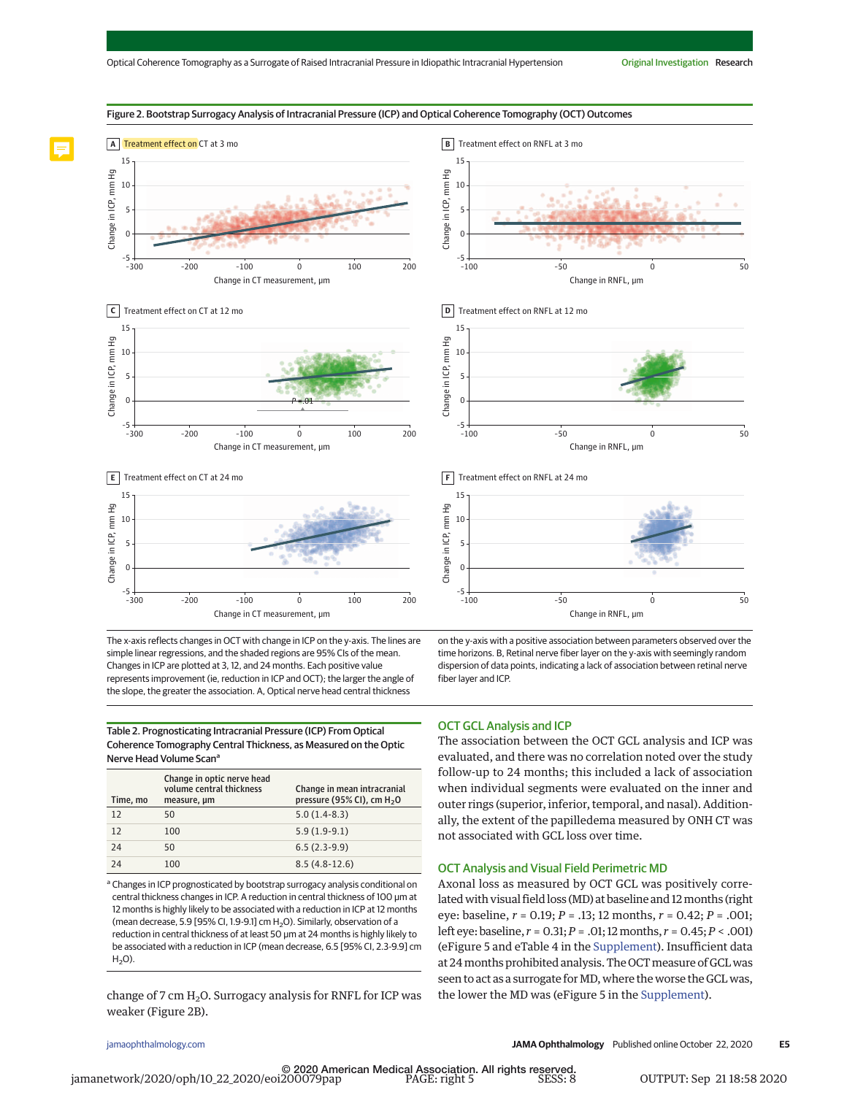







The x-axis reflects changes in OCT with change in ICP on the y-axis. The lines are simple linear regressions, and the shaded regions are 95% CIs of the mean. Changes in ICP are plotted at 3, 12, and 24 months. Each positive value represents improvement (ie, reduction in ICP and OCT); the larger the angle of the slope, the greater the association. A, Optical nerve head central thickness

Table 2. Prognosticating Intracranial Pressure (ICP) From Optical Coherence Tomography Central Thickness, as Measured on the Optic Nerve Head Volume Scan<sup>a</sup>

| Time, mo | Change in optic nerve head<br>volume central thickness<br>measure, um | Change in mean intracranial<br>pressure (95% CI), cm H <sub>2</sub> O |
|----------|-----------------------------------------------------------------------|-----------------------------------------------------------------------|
| 12       | 50                                                                    | $5.0(1.4-8.3)$                                                        |
| 12       | 100                                                                   | $5.9(1.9-9.1)$                                                        |
| 74       | 50                                                                    | $6.5(2.3-9.9)$                                                        |
| 74       | 100                                                                   | $8.5(4.8-12.6)$                                                       |

a Changes in ICP prognosticated by bootstrap surrogacy analysis conditional on central thickness changes in ICP. A reduction in central thickness of 100 μm at 12 months is highly likely to be associated with a reduction in ICP at 12 months (mean decrease, 5.9 [95% CI, 1.9-9.1] cm  $H_2O$ ). Similarly, observation of a reduction in central thickness of at least 50 μm at 24 months is highly likely to be associated with a reduction in ICP (mean decrease, 6.5 [95% CI, 2.3-9.9] cm  $H_2O$ ).

change of 7 cm  $H_2O$ . Surrogacy analysis for RNFL for ICP was weaker (Figure 2B).





on the y-axis with a positive association between parameters observed over the time horizons. B, Retinal nerve fiber layer on the y-axis with seemingly random dispersion of data points, indicating a lack of association between retinal nerve fiber layer and ICP.

### OCT GCL Analysis and ICP

The association between the OCT GCL analysis and ICP was evaluated, and there was no correlation noted over the study follow-up to 24 months; this included a lack of association when individual segments were evaluated on the inner and outer rings (superior, inferior, temporal, and nasal). Additionally, the extent of the papilledema measured by ONH CT was not associated with GCL loss over time.

## OCT Analysis and Visual Field Perimetric MD

Axonal loss as measured by OCT GCL was positively correlated with visual field loss (MD) at baseline and 12 months (right eye: baseline, *r* = 0.19; *P* = .13; 12 months, *r* = 0.42; *P* = .001; left eye: baseline, *r* = 0.31;*P* = .01; 12months, *r* = 0.45;*P* < .001) (eFigure 5 and eTable 4 in the [Supplement\)](https://jamanetwork.com/journals/jama/fullarticle/10.1001/jamaophthalmol.2020.4242?utm_campaign=articlePDF%26utm_medium=articlePDFlink%26utm_source=articlePDF%26utm_content=jamaophthalmol.2020.4242). Insufficient data at 24 months prohibited analysis. The OCT measure of GCL was seen to act as a surrogate for MD, where the worse the GCL was, the lower the MD was (eFigure 5 in the [Supplement\)](https://jamanetwork.com/journals/jama/fullarticle/10.1001/jamaophthalmol.2020.4242?utm_campaign=articlePDF%26utm_medium=articlePDFlink%26utm_source=articlePDF%26utm_content=jamaophthalmol.2020.4242).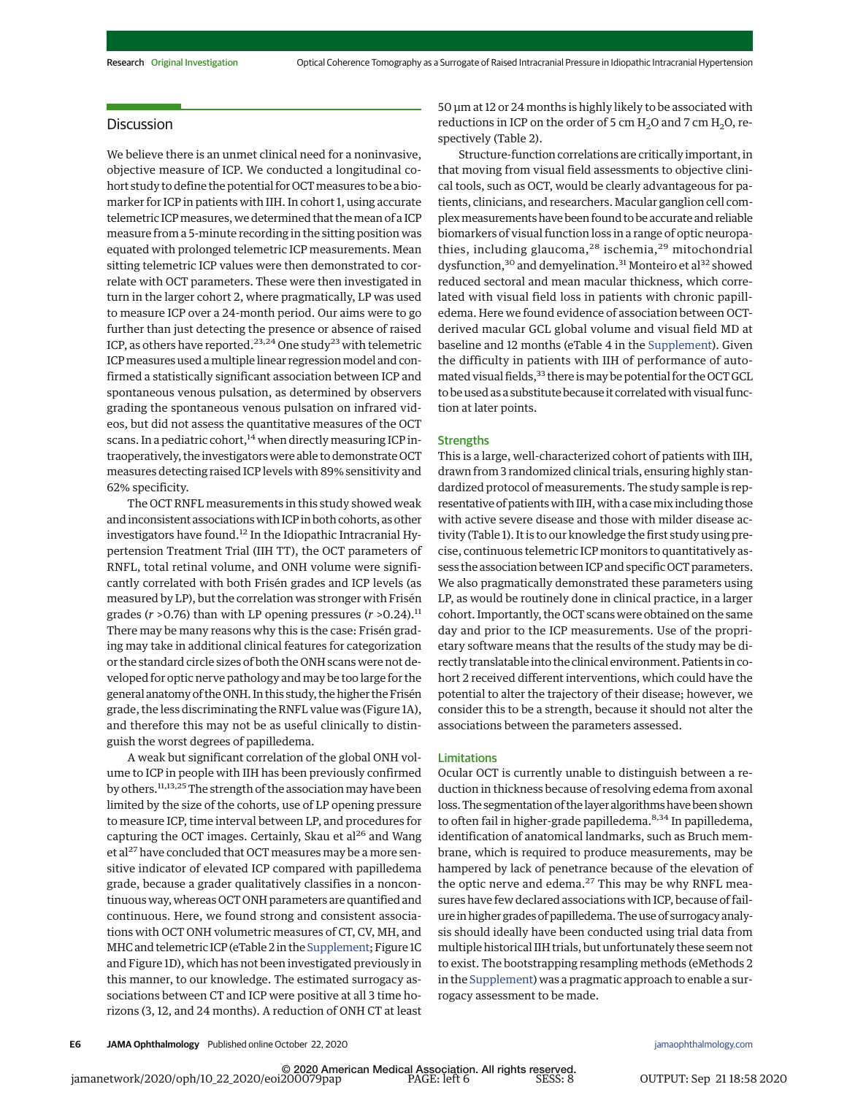# **Discussion**

We believe there is an unmet clinical need for a noninvasive, objective measure of ICP. We conducted a longitudinal cohort study to define the potential for OCT measures to be a biomarker for ICP in patients with IIH. In cohort 1, using accurate telemetric ICP measures, we determined that the mean of a ICP measure from a 5-minute recording in the sitting position was equated with prolonged telemetric ICP measurements. Mean sitting telemetric ICP values were then demonstrated to correlate with OCT parameters. These were then investigated in turn in the larger cohort 2, where pragmatically, LP was used to measure ICP over a 24-month period. Our aims were to go further than just detecting the presence or absence of raised ICP, as others have reported.<sup>23,24</sup> One study<sup>23</sup> with telemetric ICP measures used a multiple linear regression model and confirmed a statistically significant association between ICP and spontaneous venous pulsation, as determined by observers grading the spontaneous venous pulsation on infrared videos, but did not assess the quantitative measures of the OCT scans. In a pediatric cohort,<sup>14</sup> when directly measuring ICP intraoperatively, the investigators were able to demonstrate OCT measures detecting raised ICP levels with 89% sensitivity and 62% specificity.

The OCT RNFL measurements in this study showed weak and inconsistent associations with ICP in both cohorts, as other investigators have found.<sup>12</sup> In the Idiopathic Intracranial Hypertension Treatment Trial (IIH TT), the OCT parameters of RNFL, total retinal volume, and ONH volume were significantly correlated with both Frisén grades and ICP levels (as measured by LP), but the correlation was stronger with Frisén grades ( $r$  > 0.76) than with LP opening pressures ( $r$  > 0.24).<sup>11</sup> There may be many reasons why this is the case: Frisén grading may take in additional clinical features for categorization or the standard circle sizes of both the ONH scans were not developed for optic nerve pathology and may be too large for the general anatomy of the ONH. In this study, the higher the Frisén grade, the less discriminating the RNFL value was (Figure 1A), and therefore this may not be as useful clinically to distinguish the worst degrees of papilledema.

A weak but significant correlation of the global ONH volume to ICP in people with IIH has been previously confirmed by others.<sup>11,13,25</sup> The strength of the association may have been limited by the size of the cohorts, use of LP opening pressure to measure ICP, time interval between LP, and procedures for capturing the OCT images. Certainly, Skau et  $al^{26}$  and Wang et al<sup>27</sup> have concluded that OCT measures may be a more sensitive indicator of elevated ICP compared with papilledema grade, because a grader qualitatively classifies in a noncontinuous way, whereas OCT ONH parameters are quantified and continuous. Here, we found strong and consistent associations with OCT ONH volumetric measures of CT, CV, MH, and MHC and telemetric ICP (eTable 2 in the [Supplement;](https://jamanetwork.com/journals/jama/fullarticle/10.1001/jamaophthalmol.2020.4242?utm_campaign=articlePDF%26utm_medium=articlePDFlink%26utm_source=articlePDF%26utm_content=jamaophthalmol.2020.4242) Figure 1C and Figure 1D), which has not been investigated previously in this manner, to our knowledge. The estimated surrogacy associations between CT and ICP were positive at all 3 time horizons (3, 12, and 24 months). A reduction of ONH CT at least

50 μm at 12 or 24 months is highly likely to be associated with reductions in ICP on the order of 5 cm  $H_2O$  and 7 cm  $H_2O$ , respectively (Table 2).

Structure-function correlations are critically important, in that moving from visual field assessments to objective clinical tools, such as OCT, would be clearly advantageous for patients, clinicians, and researchers. Macular ganglion cell complex measurements have been found to be accurate and reliable biomarkers of visual function loss in a range of optic neuropathies, including glaucoma,<sup>28</sup> ischemia,<sup>29</sup> mitochondrial dysfunction,<sup>30</sup> and demyelination.<sup>31</sup> Monteiro et al<sup>32</sup> showed reduced sectoral and mean macular thickness, which correlated with visual field loss in patients with chronic papilledema. Here we found evidence of association between OCTderived macular GCL global volume and visual field MD at baseline and 12 months (eTable 4 in the [Supplement\)](https://jamanetwork.com/journals/jama/fullarticle/10.1001/jamaophthalmol.2020.4242?utm_campaign=articlePDF%26utm_medium=articlePDFlink%26utm_source=articlePDF%26utm_content=jamaophthalmol.2020.4242). Given the difficulty in patients with IIH of performance of automated visual fields,<sup>33</sup> there is may be potential for the OCT GCL to be used as a substitute because it correlated with visual function at later points.

## **Strengths**

This is a large, well-characterized cohort of patients with IIH, drawn from 3 randomized clinical trials, ensuring highly standardized protocol of measurements. The study sample is representative of patients with IIH, with a casemix including those with active severe disease and those with milder disease activity (Table 1). It is to our knowledge the first study using precise, continuous telemetric ICP monitors to quantitatively assess the association between ICP and specific OCT parameters. We also pragmatically demonstrated these parameters using LP, as would be routinely done in clinical practice, in a larger cohort. Importantly, the OCT scans were obtained on the same day and prior to the ICP measurements. Use of the proprietary software means that the results of the study may be directly translatable into the clinical environment. Patients in cohort 2 received different interventions, which could have the potential to alter the trajectory of their disease; however, we consider this to be a strength, because it should not alter the associations between the parameters assessed.

#### Limitations

Ocular OCT is currently unable to distinguish between a reduction in thickness because of resolving edema from axonal loss. The segmentation of the layer algorithms have been shown to often fail in higher-grade papilledema.<sup>8,34</sup> In papilledema, identification of anatomical landmarks, such as Bruch membrane, which is required to produce measurements, may be hampered by lack of penetrance because of the elevation of the optic nerve and edema.<sup>27</sup> This may be why RNFL measures have few declared associations with ICP, because of failure in higher grades of papilledema. The use of surrogacy analysis should ideally have been conducted using trial data from multiple historical IIH trials, but unfortunately these seem not to exist. The bootstrapping resampling methods (eMethods 2 in the [Supplement\)](https://jamanetwork.com/journals/jama/fullarticle/10.1001/jamaophthalmol.2020.4242?utm_campaign=articlePDF%26utm_medium=articlePDFlink%26utm_source=articlePDF%26utm_content=jamaophthalmol.2020.4242) was a pragmatic approach to enable a surrogacy assessment to be made.

jamanetwork/2020/oph/10\_22\_2020/eoi200079pap PAGE: left 6 SESS: 8 OUTPUT: Sep 21 18:58 2020 © 2020 American Medical Association. All rights reserved.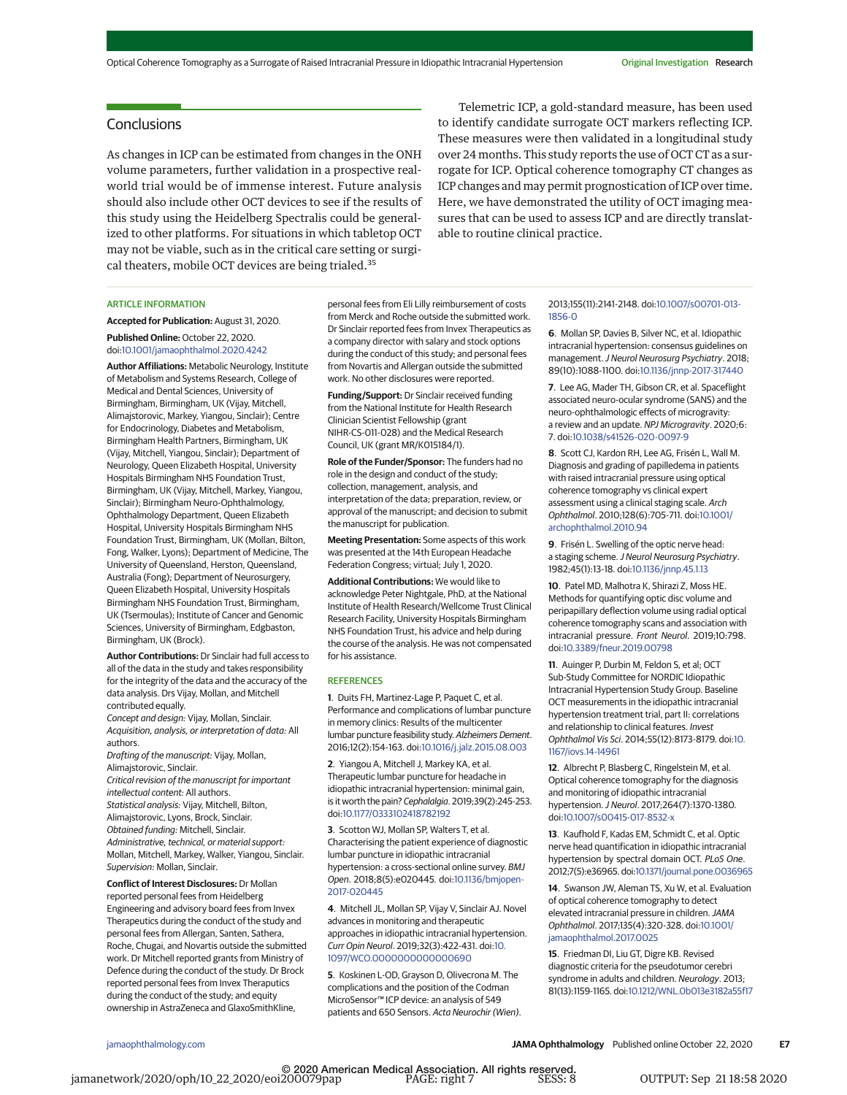## **Conclusions**

As changes in ICP can be estimated from changes in the ONH volume parameters, further validation in a prospective realworld trial would be of immense interest. Future analysis should also include other OCT devices to see if the results of this study using the Heidelberg Spectralis could be generalized to other platforms. For situations in which tabletop OCT may not be viable, such as in the critical care setting or surgical theaters, mobile OCT devices are being trialed.<sup>35</sup>

Telemetric ICP, a gold-standard measure, has been used to identify candidate surrogate OCT markers reflecting ICP. These measures were then validated in a longitudinal study over 24 months. This study reports the use of OCT CT as a surrogate for ICP. Optical coherence tomography CT changes as ICP changes and may permit prognostication of ICP over time. Here, we have demonstrated the utility of OCT imaging measures that can be used to assess ICP and are directly translatable to routine clinical practice.

#### **ARTICLE INFORMATION**

**Accepted for Publication:** August 31, 2020. **Published Online:** October 22, 2020. doi[:10.1001/jamaophthalmol.2020.4242](https://jamanetwork.com/journals/jama/fullarticle/10.1001/jamaophthalmol.2020.4242?utm_campaign=articlePDF%26utm_medium=articlePDFlink%26utm_source=articlePDF%26utm_content=jamaophthalmol.2020.4242)

**Author Affiliations:** Metabolic Neurology, Institute of Metabolism and Systems Research, College of Medical and Dental Sciences, University of Birmingham, Birmingham, UK (Vijay, Mitchell, Alimajstorovic, Markey, Yiangou, Sinclair); Centre for Endocrinology, Diabetes and Metabolism, Birmingham Health Partners, Birmingham, UK (Vijay, Mitchell, Yiangou, Sinclair); Department of Neurology, Queen Elizabeth Hospital, University Hospitals Birmingham NHS Foundation Trust, Birmingham, UK (Vijay, Mitchell, Markey, Yiangou, Sinclair); Birmingham Neuro-Ophthalmology, Ophthalmology Department, Queen Elizabeth Hospital, University Hospitals Birmingham NHS Foundation Trust, Birmingham, UK (Mollan, Bilton, Fong, Walker, Lyons); Department of Medicine, The University of Queensland, Herston, Queensland, Australia (Fong); Department of Neurosurgery, Queen Elizabeth Hospital, University Hospitals Birmingham NHS Foundation Trust, Birmingham, UK (Tsermoulas); Institute of Cancer and Genomic Sciences, University of Birmingham, Edgbaston, Birmingham, UK (Brock).

**Author Contributions:** Dr Sinclair had full access to all of the data in the study and takes responsibility for the integrity of the data and the accuracy of the data analysis. Drs Vijay, Mollan, and Mitchell contributed equally.

Concept and design: Vijay, Mollan, Sinclair. Acquisition, analysis, or interpretation of data: All authors.

Drafting of the manuscript: Vijay, Mollan, Alimajstorovic, Sinclair. Critical revision of the manuscript for important intellectual content: All authors. Statistical analysis: Vijay, Mitchell, Bilton, Alimajstorovic, Lyons, Brock, Sinclair. Obtained funding: Mitchell, Sinclair. Administrative, technical, or material support: Mollan, Mitchell, Markey, Walker, Yiangou, Sinclair.

**Conflict of Interest Disclosures:** Dr Mollan reported personal fees from Heidelberg Engineering and advisory board fees from Invex Therapeutics during the conduct of the study and personal fees from Allergan, Santen, Sathera, Roche, Chugai, and Novartis outside the submitted work. Dr Mitchell reported grants from Ministry of Defence during the conduct of the study. Dr Brock reported personal fees from Invex Theraputics during the conduct of the study; and equity ownership in AstraZeneca and GlaxoSmithKline,

personal fees from Eli Lilly reimbursement of costs from Merck and Roche outside the submitted work. Dr Sinclair reported fees from Invex Therapeutics as a company director with salary and stock options during the conduct of this study; and personal fees from Novartis and Allergan outside the submitted work. No other disclosures were reported.

**Funding/Support:** Dr Sinclair received funding from the National Institute for Health Research Clinician Scientist Fellowship (grant NIHR-CS-011-028) and the Medical Research Council, UK (grant MR/K015184/1).

**Role of the Funder/Sponsor:** The funders had no role in the design and conduct of the study; collection, management, analysis, and interpretation of the data; preparation, review, or approval of the manuscript; and decision to submit the manuscript for publication.

**Meeting Presentation:** Some aspects of this work was presented at the 14th European Headache Federation Congress; virtual; July 1, 2020.

**Additional Contributions:** We would like to acknowledge Peter Nightgale, PhD, at the National Institute of Health Research/Wellcome Trust Clinical Research Facility, University Hospitals Birmingham NHS Foundation Trust, his advice and help during the course of the analysis. He was not compensated for his assistance.

#### **REFERENCES**

**1**. Duits FH, Martinez-Lage P, Paquet C, et al. Performance and complications of lumbar puncture in memory clinics: Results of the multicenter lumbar puncture feasibility study. Alzheimers Dement. 2016;12(2):154-163. doi[:10.1016/j.jalz.2015.08.003](https://dx.doi.org/10.1016/j.jalz.2015.08.003)

**2**. Yiangou A, Mitchell J, Markey KA, et al. Therapeutic lumbar puncture for headache in idiopathic intracranial hypertension: minimal gain, is it worth the pain? Cephalalgia. 2019;39(2):245-253. doi[:10.1177/0333102418782192](https://dx.doi.org/10.1177/0333102418782192)

**3**. Scotton WJ, Mollan SP, Walters T, et al. Characterising the patient experience of diagnostic lumbar puncture in idiopathic intracranial hypertension: a cross-sectional online survey. BMJ Open. 2018;8(5):e020445. doi[:10.1136/bmjopen-](https://dx.doi.org/10.1136/bmjopen-2017-020445)[2017-020445](https://dx.doi.org/10.1136/bmjopen-2017-020445)

**4**. Mitchell JL, Mollan SP, Vijay V, Sinclair AJ. Novel advances in monitoring and therapeutic approaches in idiopathic intracranial hypertension. Curr Opin Neurol. 2019;32(3):422-431. doi[:10.](https://dx.doi.org/10.1097/WCO.0000000000000690) [1097/WCO.0000000000000690](https://dx.doi.org/10.1097/WCO.0000000000000690)

**5**. Koskinen L-OD, Grayson D, Olivecrona M. The complications and the position of the Codman MicroSensor™ ICP device: an analysis of 549 patients and 650 Sensors. Acta Neurochir (Wien). 2013;155(11):2141-2148. doi[:10.1007/s00701-013-](https://dx.doi.org/10.1007/s00701-013-1856-0) [1856-0](https://dx.doi.org/10.1007/s00701-013-1856-0)

**6**. Mollan SP, Davies B, Silver NC, et al. Idiopathic intracranial hypertension: consensus guidelines on management.J Neurol Neurosurg Psychiatry. 2018; 89(10):1088-1100. doi[:10.1136/jnnp-2017-317440](https://dx.doi.org/10.1136/jnnp-2017-317440)

**7**. Lee AG, Mader TH, Gibson CR, et al. Spaceflight associated neuro-ocular syndrome (SANS) and the neuro-ophthalmologic effects of microgravity: a review and an update. NPJ Microgravity. 2020;6: 7. doi[:10.1038/s41526-020-0097-9](https://dx.doi.org/10.1038/s41526-020-0097-9)

**8**. Scott CJ, Kardon RH, Lee AG, Frisén L, Wall M. Diagnosis and grading of papilledema in patients with raised intracranial pressure using optical coherence tomography vs clinical expert assessment using a clinical staging scale. Arch Ophthalmol. 2010;128(6):705-711. doi[:10.1001/](https://jamanetwork.com/journals/jama/fullarticle/10.1001/archophthalmol.2010.94?utm_campaign=articlePDF%26utm_medium=articlePDFlink%26utm_source=articlePDF%26utm_content=jamaophthalmol.2020.4242) [archophthalmol.2010.94](https://jamanetwork.com/journals/jama/fullarticle/10.1001/archophthalmol.2010.94?utm_campaign=articlePDF%26utm_medium=articlePDFlink%26utm_source=articlePDF%26utm_content=jamaophthalmol.2020.4242)

**9**. Frisén L. Swelling of the optic nerve head: a staging scheme. J Neurol Neurosurg Psychiatry. 1982;45(1):13-18. doi[:10.1136/jnnp.45.1.13](https://dx.doi.org/10.1136/jnnp.45.1.13)

**10**. Patel MD, Malhotra K, Shirazi Z, Moss HE. Methods for quantifying optic disc volume and peripapillary deflection volume using radial optical coherence tomography scans and association with intracranial pressure. Front Neurol. 2019;10:798. doi[:10.3389/fneur.2019.00798](https://dx.doi.org/10.3389/fneur.2019.00798)

**11**. Auinger P, Durbin M, Feldon S, et al; OCT Sub-Study Committee for NORDIC Idiopathic Intracranial Hypertension Study Group. Baseline OCT measurements in the idiopathic intracranial hypertension treatment trial, part II: correlations and relationship to clinical features. Invest Ophthalmol Vis Sci. 2014;55(12):8173-8179. doi[:10.](https://dx.doi.org/10.1167/iovs.14-14961) [1167/iovs.14-14961](https://dx.doi.org/10.1167/iovs.14-14961)

**12**. Albrecht P, Blasberg C, Ringelstein M, et al. Optical coherence tomography for the diagnosis and monitoring of idiopathic intracranial hypertension.J Neurol. 2017;264(7):1370-1380. doi[:10.1007/s00415-017-8532-x](https://dx.doi.org/10.1007/s00415-017-8532-x)

**13**. Kaufhold F, Kadas EM, Schmidt C, et al. Optic nerve head quantification in idiopathic intracranial hypertension by spectral domain OCT. PLoS One. 2012;7(5):e36965. doi[:10.1371/journal.pone.0036965](https://dx.doi.org/10.1371/journal.pone.0036965)

**14**. Swanson JW, Aleman TS, Xu W, et al. Evaluation of optical coherence tomography to detect elevated intracranial pressure in children.JAMA Ophthalmol. 2017;135(4):320-328. doi[:10.1001/](https://jamanetwork.com/journals/jama/fullarticle/10.1001/jamaophthalmol.2017.0025?utm_campaign=articlePDF%26utm_medium=articlePDFlink%26utm_source=articlePDF%26utm_content=jamaophthalmol.2020.4242) [jamaophthalmol.2017.0025](https://jamanetwork.com/journals/jama/fullarticle/10.1001/jamaophthalmol.2017.0025?utm_campaign=articlePDF%26utm_medium=articlePDFlink%26utm_source=articlePDF%26utm_content=jamaophthalmol.2020.4242)

**15**. Friedman DI, Liu GT, Digre KB. Revised diagnostic criteria for the pseudotumor cerebri syndrome in adults and children. Neurology. 2013: 81(13):1159-1165. doi[:10.1212/WNL.0b013e3182a55f17](https://dx.doi.org/10.1212/WNL.0b013e3182a55f17)

Supervision: Mollan, Sinclair.

[jamaophthalmology.com](http://www.jamaophthalmology.com?utm_campaign=articlePDF%26utm_medium=articlePDFlink%26utm_source=articlePDF%26utm_content=jamaophthalmol.2020.4242) **(Reprinted) JAMA Ophthalmology** Published online October 22, 2020 **E7**